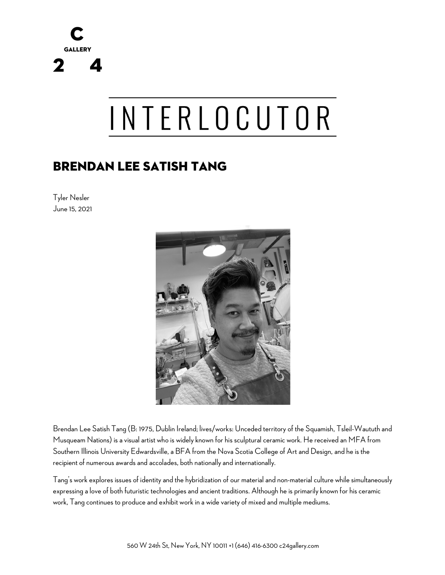

# INTERLOCUTOR

## BRENDAN LEE SATISH TANG

Tyler Nesler June 15, 2021



Brendan Lee Satish Tang (B: 1975, Dublin Ireland; lives/works: Unceded territory of the Squamish, Tsleil-Waututh and Musqueam Nations) is a visual artist who is widely known for his sculptural ceramic work. He received an MFA from Southern Illinois University Edwardsville, a BFA from the Nova Scotia College of Art and Design, and he is the recipient of numerous awards and accolades, both nationally and internationally.

Tang's work explores issues of identity and the hybridization of our material and non-material culture while simultaneously expressing a love of both futuristic technologies and ancient traditions. Although he is primarily known for his ceramic work, Tang continues to produce and exhibit work in a wide variety of mixed and multiple mediums.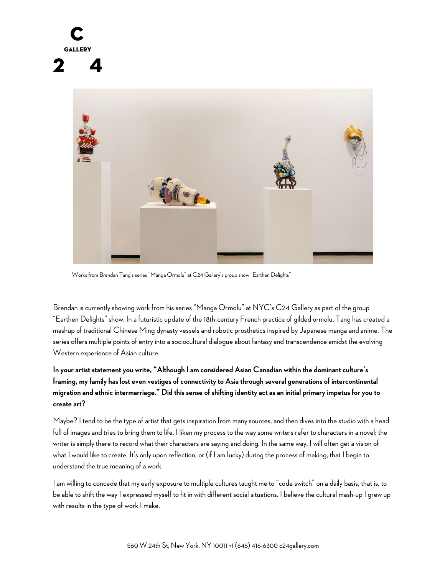

Works from Brendan Tang's series "Manga Ormolu" at C24 Gallery's group show "Earthen Delights"

Brendan is currently showing work from his series "Manga Ormolu" at NYC's C24 Gallery as part of the group "Earthen Delights" show. In a futuristic update of the 18th-century French practice of gilded ormolu, Tang has created a mashup of traditional Chinese Ming dynasty vessels and robotic prosthetics inspired by Japanese manga and anime. The series offers multiple points of entry into a sociocultural dialogue about fantasy and transcendence amidst the evolving Western experience of Asian culture.

## **In your artist statement you write, "Although I am considered Asian Canadian within the dominant culture's framing, my family has lost even vestiges of connectivity to Asia through several generations of intercontinental migration and ethnic intermarriage." Did this sense of shifting identity act as an initial primary impetus for you to create art?**

Maybe? I tend to be the type of artist that gets inspiration from many sources, and then dives into the studio with a head full of images and tries to bring them to life. I liken my process to the way some writers refer to characters in a novel; the writer is simply there to record what their characters are saying and doing. In the same way, I will often get a vision of what I would like to create. It's only upon reflection, or (if I am lucky) during the process of making, that I begin to understand the true meaning of a work.

I am willing to concede that my early exposure to multiple cultures taught me to "code switch" on a daily basis, that is, to be able to shift the way I expressed myself to fit in with different social situations. I believe the cultural mash-up I grew up with results in the type of work I make.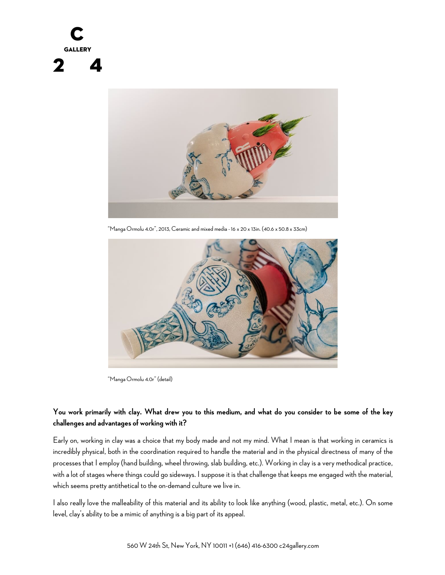



"Manga Ormolu 4.0r", 2013, Ceramic and mixed media - 16 x 20 x 13in. (40.6 x 50.8 x 33cm)



"Manga Ormolu 4.0r" (detail)

#### **You work primarily with clay. What drew you to this medium, and what do you consider to be some of the key challenges and advantages of working with it?**

Early on, working in clay was a choice that my body made and not my mind. What I mean is that working in ceramics is incredibly physical, both in the coordination required to handle the material and in the physical directness of many of the processes that I employ (hand building, wheel throwing, slab building, etc.). Working in clay is a very methodical practice, with a lot of stages where things could go sideways. I suppose it is that challenge that keeps me engaged with the material, which seems pretty antithetical to the on-demand culture we live in.

I also really love the malleability of this material and its ability to look like anything (wood, plastic, metal, etc.). On some level, clay's ability to be a mimic of anything is a big part of its appeal.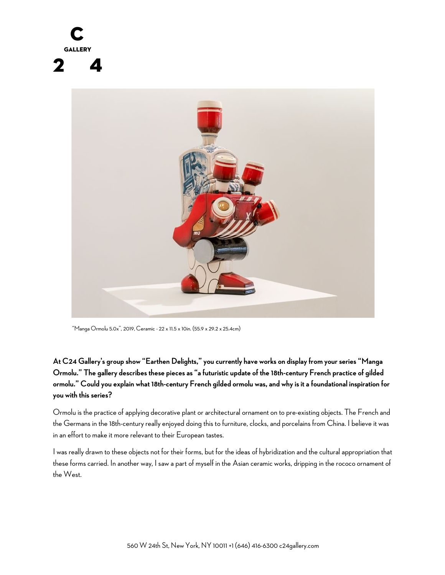

"Manga Ormolu 5.0x", 2019, Ceramic - 22 x 11.5 x 10in. (55.9 x 29.2 x 25.4cm)

**At C24 Gallery's group show "Earthen Delights," you currently have works on display from your series "Manga Ormolu." The gallery describes these pieces as "a futuristic update of the 18th-century French practice of gilded ormolu." Could you explain what 18th-century French gilded ormolu was, and why is it a foundational inspiration for you with this series?**

Ormolu is the practice of applying decorative plant or architectural ornament on to pre-existing objects. The French and the Germans in the 18th-century really enjoyed doing this to furniture, clocks, and porcelains from China. I believe it was in an effort to make it more relevant to their European tastes.

I was really drawn to these objects not for their forms, but for the ideas of hybridization and the cultural appropriation that these forms carried. In another way, I saw a part of myself in the Asian ceramic works, dripping in the rococo ornament of the West.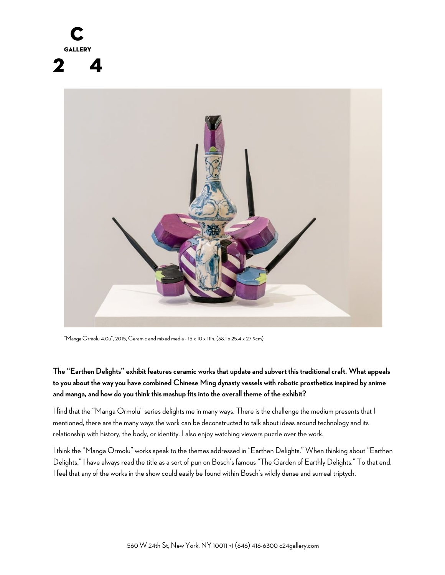



"Manga Ormolu 4.0u", 2015, Ceramic and mixed media - 15 x 10 x 11in. (38.1 x 25.4 x 27.9cm)

**The "Earthen Delights" exhibit features ceramic works that update and subvert this traditional craft. What appeals to you about the way you have combined Chinese Ming dynasty vessels with robotic prosthetics inspired by anime and manga, and how do you think this mashup fits into the overall theme of the exhibit?**

I find that the "Manga Ormolu" series delights me in many ways. There is the challenge the medium presents that I mentioned, there are the many ways the work can be deconstructed to talk about ideas around technology and its relationship with history, the body, or identity. I also enjoy watching viewers puzzle over the work.

I think the "Manga Ormolu" works speak to the themes addressed in "Earthen Delights." When thinking about "Earthen Delights," I have always read the title as a sort of pun on Bosch's famous "The Garden of Earthly Delights." To that end, I feel that any of the works in the show could easily be found within Bosch's wildly dense and surreal triptych.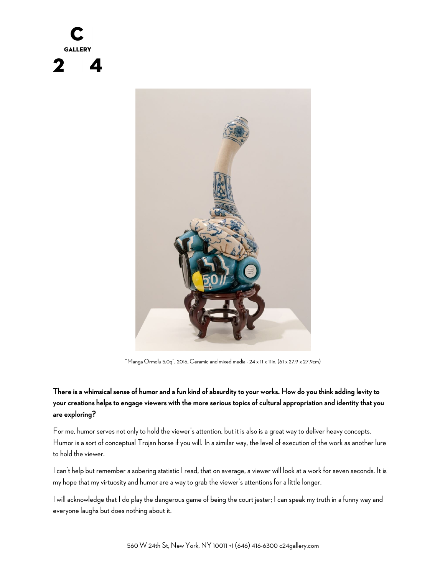



"Manga Ormolu 5.0q", 2016, Ceramic and mixed media - 24 x 11 x 11in. (61 x 27.9 x 27.9cm)

#### **There is a whimsical sense of humor and a fun kind of absurdity to your works. How do you think adding levity to your creations helps to engage viewers with the more serious topics of cultural appropriation and identity that you are exploring?**

For me, humor serves not only to hold the viewer's attention, but it is also is a great way to deliver heavy concepts. Humor is a sort of conceptual Trojan horse if you will. In a similar way, the level of execution of the work as another lure to hold the viewer.

I can't help but remember a sobering statistic I read, that on average, a viewer will look at a work for seven seconds. It is my hope that my virtuosity and humor are a way to grab the viewer's attentions for a little longer.

I will acknowledge that I do play the dangerous game of being the court jester; I can speak my truth in a funny way and everyone laughs but does nothing about it.